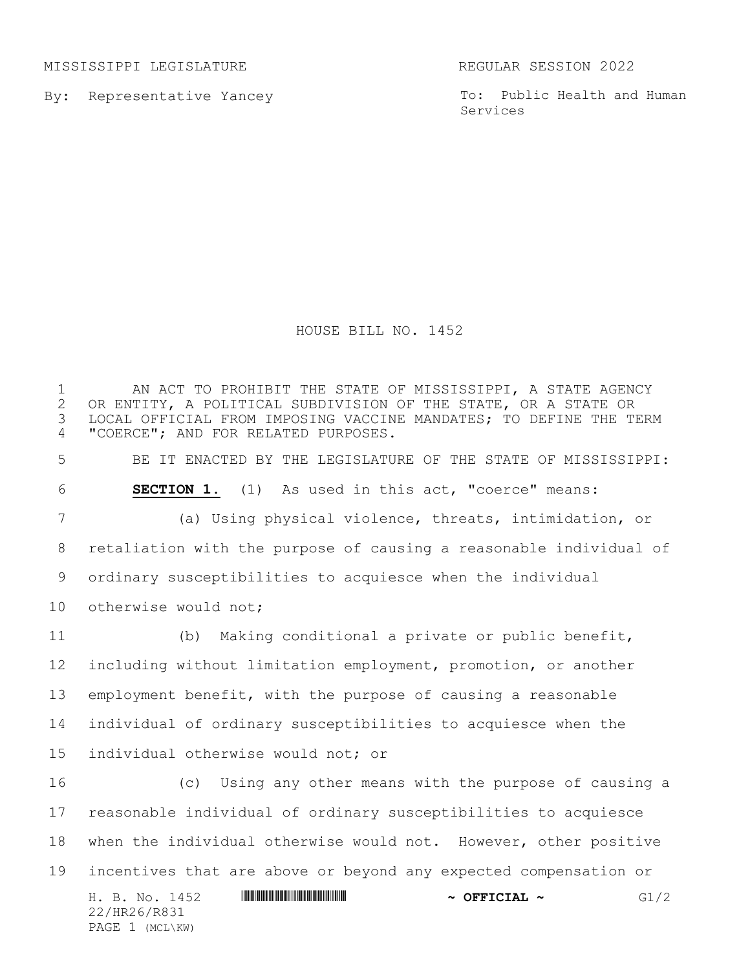MISSISSIPPI LEGISLATURE REGULAR SESSION 2022

By: Representative Yancey

To: Public Health and Human Services

## HOUSE BILL NO. 1452

H. B. No. 1452 \*HR26/R831\* **~ OFFICIAL ~** G1/2 22/HR26/R831 PAGE 1 (MCL\KW) AN ACT TO PROHIBIT THE STATE OF MISSISSIPPI, A STATE AGENCY 2 OR ENTITY, A POLITICAL SUBDIVISION OF THE STATE, OR A STATE OR<br>3 LOCAL OFFICIAL FROM IMPOSING VACCINE MANDATES; TO DEFINE THE TI LOCAL OFFICIAL FROM IMPOSING VACCINE MANDATES; TO DEFINE THE TERM "COERCE"; AND FOR RELATED PURPOSES. BE IT ENACTED BY THE LEGISLATURE OF THE STATE OF MISSISSIPPI: **SECTION 1.** (1) As used in this act, "coerce" means: (a) Using physical violence, threats, intimidation, or retaliation with the purpose of causing a reasonable individual of ordinary susceptibilities to acquiesce when the individual 10 otherwise would not; (b) Making conditional a private or public benefit, including without limitation employment, promotion, or another employment benefit, with the purpose of causing a reasonable individual of ordinary susceptibilities to acquiesce when the individual otherwise would not; or (c) Using any other means with the purpose of causing a reasonable individual of ordinary susceptibilities to acquiesce when the individual otherwise would not. However, other positive incentives that are above or beyond any expected compensation or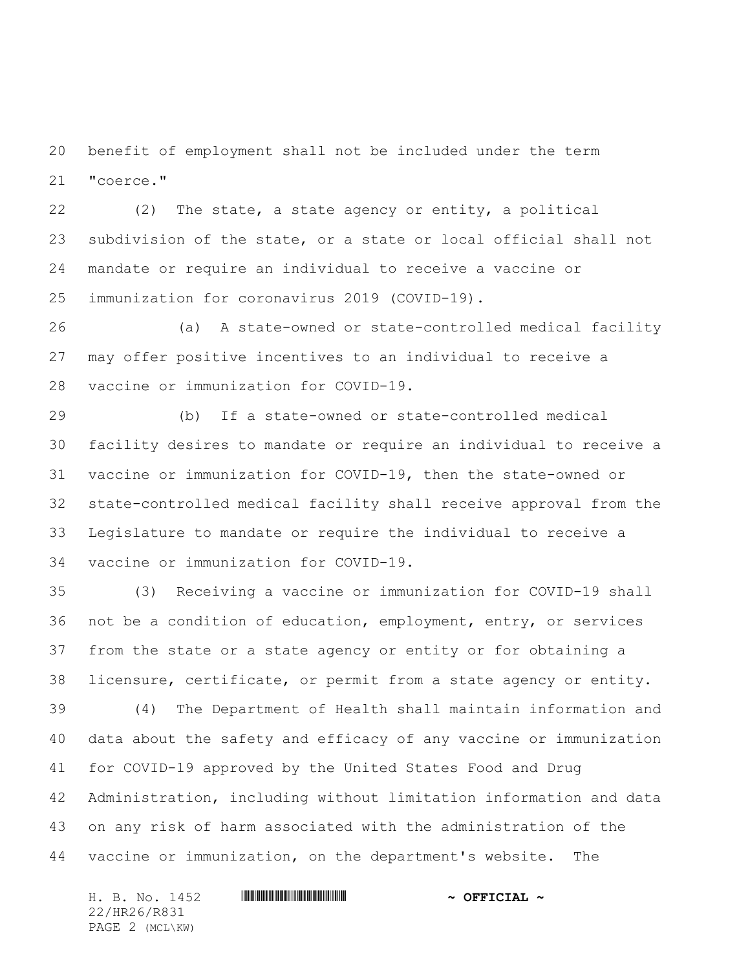benefit of employment shall not be included under the term "coerce."

 (2) The state, a state agency or entity, a political subdivision of the state, or a state or local official shall not mandate or require an individual to receive a vaccine or immunization for coronavirus 2019 (COVID-19).

 (a) A state-owned or state-controlled medical facility may offer positive incentives to an individual to receive a vaccine or immunization for COVID-19.

 (b) If a state-owned or state-controlled medical facility desires to mandate or require an individual to receive a vaccine or immunization for COVID-19, then the state-owned or state-controlled medical facility shall receive approval from the Legislature to mandate or require the individual to receive a vaccine or immunization for COVID-19.

 (3) Receiving a vaccine or immunization for COVID-19 shall not be a condition of education, employment, entry, or services from the state or a state agency or entity or for obtaining a licensure, certificate, or permit from a state agency or entity. (4) The Department of Health shall maintain information and data about the safety and efficacy of any vaccine or immunization for COVID-19 approved by the United States Food and Drug Administration, including without limitation information and data on any risk of harm associated with the administration of the vaccine or immunization, on the department's website. The

H. B. No. 1452 **. AND AND AN ABSE AND A SEPICIAL ~** 22/HR26/R831 PAGE 2 (MCL\KW)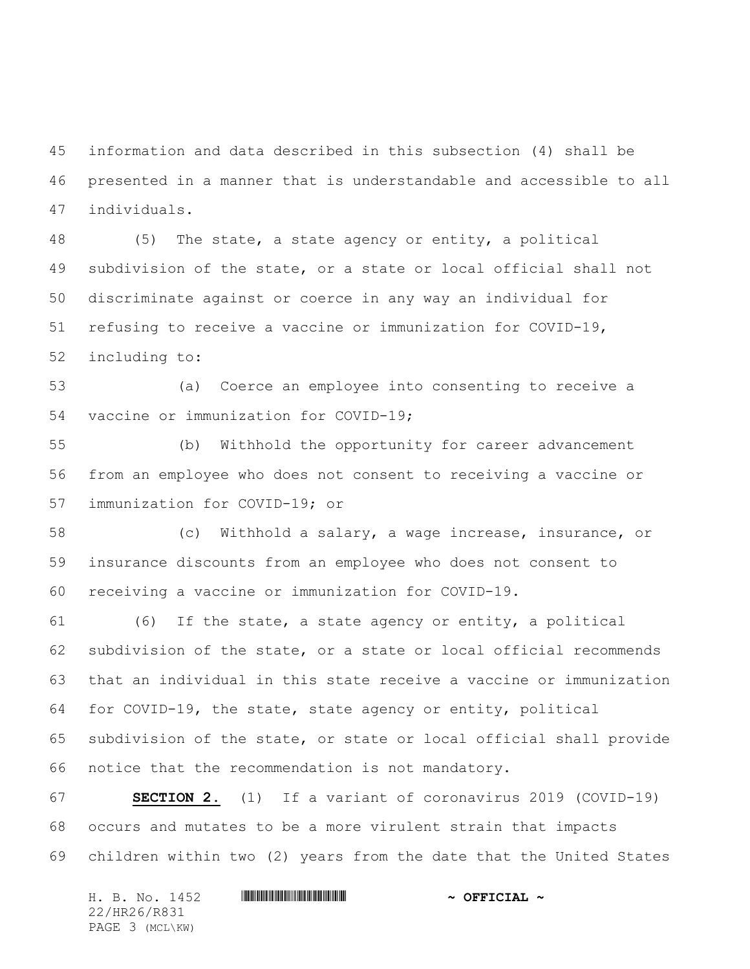information and data described in this subsection (4) shall be presented in a manner that is understandable and accessible to all individuals.

 (5) The state, a state agency or entity, a political subdivision of the state, or a state or local official shall not discriminate against or coerce in any way an individual for refusing to receive a vaccine or immunization for COVID-19, including to:

 (a) Coerce an employee into consenting to receive a vaccine or immunization for COVID-19;

 (b) Withhold the opportunity for career advancement from an employee who does not consent to receiving a vaccine or immunization for COVID-19; or

 (c) Withhold a salary, a wage increase, insurance, or insurance discounts from an employee who does not consent to receiving a vaccine or immunization for COVID-19.

 (6) If the state, a state agency or entity, a political subdivision of the state, or a state or local official recommends that an individual in this state receive a vaccine or immunization for COVID-19, the state, state agency or entity, political subdivision of the state, or state or local official shall provide notice that the recommendation is not mandatory.

 **SECTION 2.** (1) If a variant of coronavirus 2019 (COVID-19) occurs and mutates to be a more virulent strain that impacts children within two (2) years from the date that the United States

| H. B. No. 1452  | $\sim$ OFFICIAL $\sim$ |
|-----------------|------------------------|
| 22/HR26/R831    |                        |
| PAGE 3 (MCL\KW) |                        |